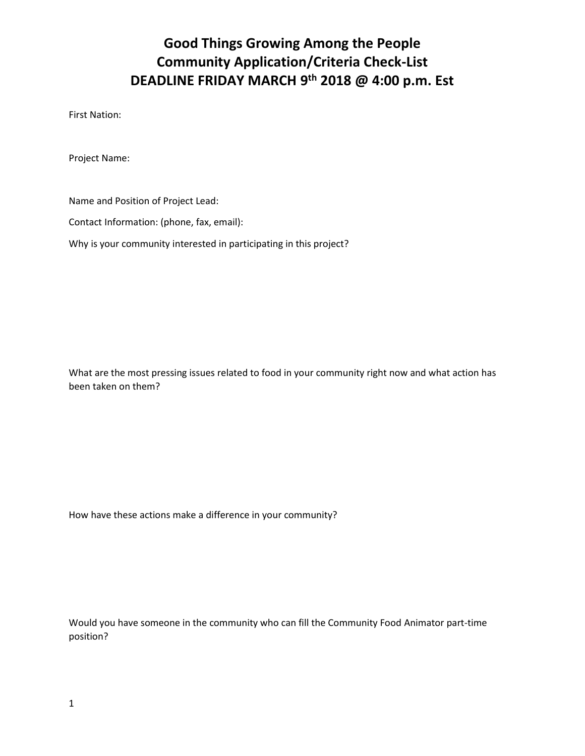## **Good Things Growing Among the People Community Application/Criteria Check-List DEADLINE FRIDAY MARCH 9 th 2018 @ 4:00 p.m. Est**

First Nation:

Project Name:

Name and Position of Project Lead:

Contact Information: (phone, fax, email):

Why is your community interested in participating in this project?

What are the most pressing issues related to food in your community right now and what action has been taken on them?

How have these actions make a difference in your community?

Would you have someone in the community who can fill the Community Food Animator part-time position?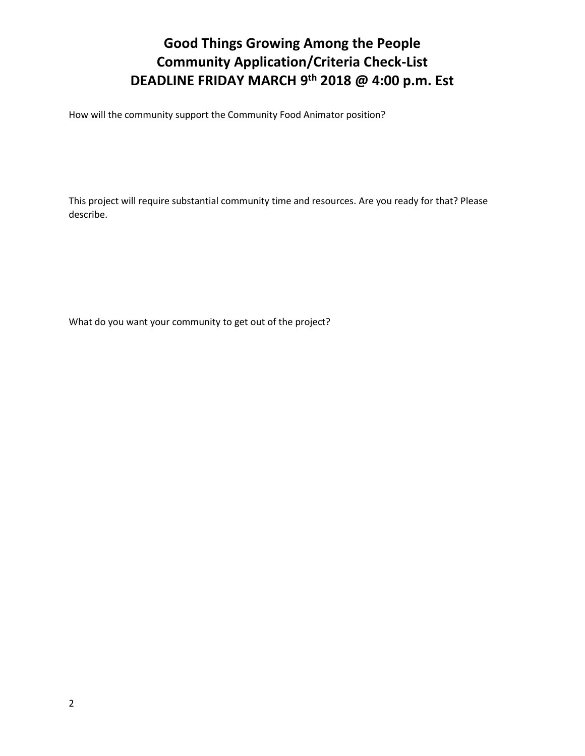## **Good Things Growing Among the People Community Application/Criteria Check-List DEADLINE FRIDAY MARCH 9 th 2018 @ 4:00 p.m. Est**

How will the community support the Community Food Animator position?

This project will require substantial community time and resources. Are you ready for that? Please describe.

What do you want your community to get out of the project?